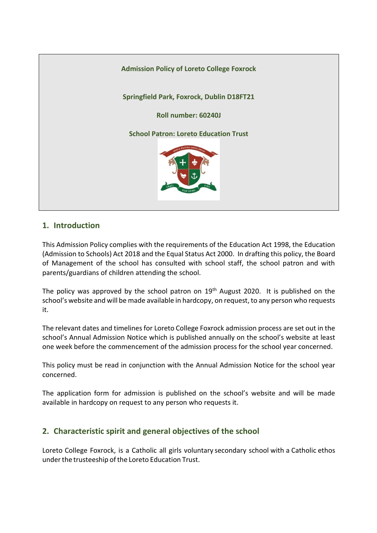

## **1. Introduction**

This Admission Policy complies with the requirements of the Education Act 1998, the Education (Admission to Schools) Act 2018 and the Equal Status Act 2000. In drafting this policy, the Board of Management of the school has consulted with school staff, the school patron and with parents/guardians of children attending the school.

The policy was approved by the school patron on 19<sup>th</sup> August 2020. It is published on the school's website and will be made available in hardcopy, on request, to any person who requests it.

The relevant dates and timelines for Loreto College Foxrock admission process are set out in the school's Annual Admission Notice which is published annually on the school's website at least one week before the commencement of the admission process for the school year concerned.

This policy must be read in conjunction with the Annual Admission Notice for the school year concerned.

The application form for admission is published on the school's website and will be made available in hardcopy on request to any person who requests it.

# **2. Characteristic spirit and general objectives of the school**

Loreto College Foxrock, is a Catholic all girls voluntary secondary school with a Catholic ethos under the trusteeship of the Loreto Education Trust.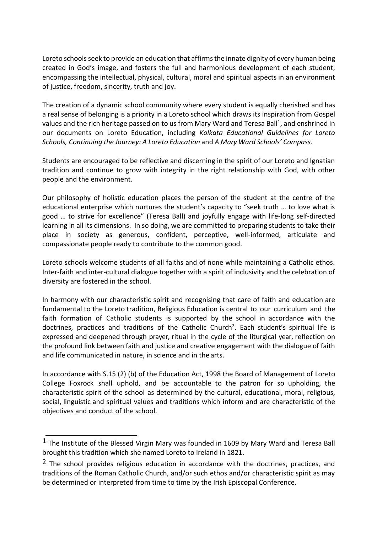Loreto schools seek to provide an education that affirms the innate dignity of every human being created in God's image, and fosters the full and harmonious development of each student, encompassing the intellectual, physical, cultural, moral and spiritual aspects in an environment of justice, freedom, sincerity, truth and joy.

The creation of a dynamic school community where every student is equally cherished and has a real sense of belonging is a priority in a Loreto school which draws its inspiration from Gospel values and the rich heritage passed on to us from Mary Ward and Teresa Ball<sup>1</sup>, and enshrined in our documents on Loreto Education, including *Kolkata Educational Guidelines for Loreto Schools, Continuing the Journey: A Loreto Education* and *A Mary Ward Schools' Compass.*

Students are encouraged to be reflective and discerning in the spirit of our Loreto and Ignatian tradition and continue to grow with integrity in the right relationship with God, with other people and the environment.

Our philosophy of holistic education places the person of the student at the centre of the educational enterprise which nurtures the student's capacity to "seek truth … to love what is good … to strive for excellence" (Teresa Ball) and joyfully engage with life-long self-directed learning in all its dimensions. In so doing, we are committed to preparing students to take their place in society as generous, confident, perceptive, well-informed, articulate and compassionate people ready to contribute to the common good.

Loreto schools welcome students of all faiths and of none while maintaining a Catholic ethos. Inter-faith and inter-cultural dialogue together with a spirit of inclusivity and the celebration of diversity are fostered in the school.

In harmony with our characteristic spirit and recognising that care of faith and education are fundamental to the Loreto tradition, Religious Education is central to our curriculum and the faith formation of Catholic students is supported by the school in accordance with the doctrines, practices and traditions of the Catholic Church<sup>2</sup>. Each student's spiritual life is expressed and deepened through prayer, ritual in the cycle of the liturgical year, reflection on the profound link between faith and justice and creative engagement with the dialogue of faith and life communicated in nature, in science and in the arts.

In accordance with S.15 (2) (b) of the Education Act, 1998 the Board of Management of Loreto College Foxrock shall uphold, and be accountable to the patron for so upholding, the characteristic spirit of the school as determined by the cultural, educational, moral, religious, social, linguistic and spiritual values and traditions which inform and are characteristic of the objectives and conduct of the school.

<sup>1</sup> The Institute of the Blessed Virgin Mary was founded in 1609 by Mary Ward and Teresa Ball brought this tradition which she named Loreto to Ireland in 1821.

<sup>&</sup>lt;sup>2</sup> The school provides religious education in accordance with the doctrines, practices, and traditions of the Roman Catholic Church, and/or such ethos and/or characteristic spirit as may be determined or interpreted from time to time by the Irish Episcopal Conference.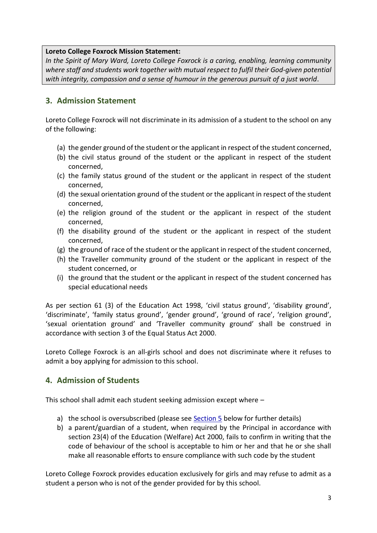#### **Loreto College Foxrock Mission Statement:**

*In the Spirit of Mary Ward, Loreto College Foxrock is a caring, enabling, learning community*  where staff and students work together with mutual respect to fulfil their God-given potential *with integrity, compassion and a sense of humour in the generous pursuit of a just world*.

## **3. Admission Statement**

Loreto College Foxrock will not discriminate in its admission of a student to the school on any of the following:

- (a) the gender ground of the student or the applicant in respect of the student concerned,
- (b) the civil status ground of the student or the applicant in respect of the student concerned,
- (c) the family status ground of the student or the applicant in respect of the student concerned,
- (d) the sexual orientation ground of the student or the applicant in respect of the student concerned,
- (e) the religion ground of the student or the applicant in respect of the student concerned,
- (f) the disability ground of the student or the applicant in respect of the student concerned,
- (g) the ground of race of the student or the applicant in respect of the student concerned,
- (h) the Traveller community ground of the student or the applicant in respect of the student concerned, or
- (i) the ground that the student or the applicant in respect of the student concerned has special educational needs

As per section 61 (3) of the Education Act 1998, 'civil status ground', 'disability ground', 'discriminate', 'family status ground', 'gender ground', 'ground of race', 'religion ground', 'sexual orientation ground' and 'Traveller community ground' shall be construed in accordance with section 3 of the Equal Status Act 2000.

Loreto College Foxrock is an all-girls school and does not discriminate where it refuses to admit a boy applying for admission to this school.

# **4. Admission of Students**

This school shall admit each student seeking admission except where –

- a) the school is oversubscribed (please see [Section 5](#page-3-0) below for further details)
- b) a parent/guardian of a student, when required by the Principal in accordance with section 23(4) of the Education (Welfare) Act 2000, fails to confirm in writing that the code of behaviour of the school is acceptable to him or her and that he or she shall make all reasonable efforts to ensure compliance with such code by the student

Loreto College Foxrock provides education exclusively for girls and may refuse to admit as a student a person who is not of the gender provided for by this school.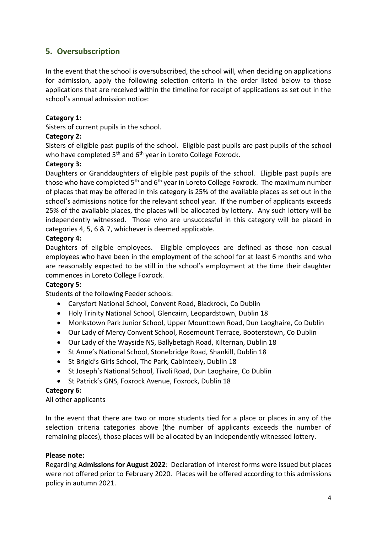# <span id="page-3-0"></span>**5. Oversubscription**

In the event that the school is oversubscribed, the school will, when deciding on applications for admission, apply the following selection criteria in the order listed below to those applications that are received within the timeline for receipt of applications as set out in the school's annual admission notice:

### **Category 1:**

Sisters of current pupils in the school.

### **Category 2:**

Sisters of eligible past pupils of the school. Eligible past pupils are past pupils of the school who have completed 5<sup>th</sup> and 6<sup>th</sup> year in Loreto College Foxrock.

### **Category 3:**

Daughters or Granddaughters of eligible past pupils of the school. Eligible past pupils are those who have completed  $5<sup>th</sup>$  and  $6<sup>th</sup>$  year in Loreto College Foxrock. The maximum number of places that may be offered in this category is 25% of the available places as set out in the school's admissions notice for the relevant school year. If the number of applicants exceeds 25% of the available places, the places will be allocated by lottery. Any such lottery will be independently witnessed. Those who are unsuccessful in this category will be placed in categories 4, 5, 6 & 7, whichever is deemed applicable.

### **Category 4:**

Daughters of eligible employees. Eligible employees are defined as those non casual employees who have been in the employment of the school for at least 6 months and who are reasonably expected to be still in the school's employment at the time their daughter commences in Loreto College Foxrock.

### **Category 5:**

Students of the following Feeder schools:

- Carysfort National School, Convent Road, Blackrock, Co Dublin
- Holy Trinity National School, Glencairn, Leopardstown, Dublin 18
- Monkstown Park Junior School, Upper Mounttown Road, Dun Laoghaire, Co Dublin
- Our Lady of Mercy Convent School, Rosemount Terrace, Booterstown, Co Dublin
- Our Lady of the Wayside NS, Ballybetagh Road, Kilternan, Dublin 18
- St Anne's National School, Stonebridge Road, Shankill, Dublin 18
- St Brigid's Girls School, The Park, Cabinteely, Dublin 18
- St Joseph's National School, Tivoli Road, Dun Laoghaire, Co Dublin
- St Patrick's GNS, Foxrock Avenue, Foxrock, Dublin 18

### **Category 6:**

All other applicants

In the event that there are two or more students tied for a place or places in any of the selection criteria categories above (the number of applicants exceeds the number of remaining places), those places will be allocated by an independently witnessed lottery.

### **Please note:**

Regarding **Admissions for August 2022**: Declaration of Interest forms were issued but places were not offered prior to February 2020. Places will be offered according to this admissions policy in autumn 2021.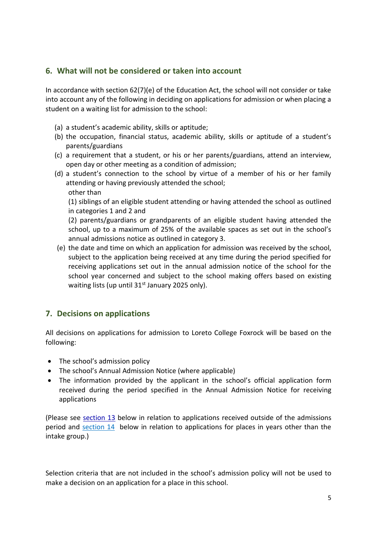# **6. What will not be considered or taken into account**

In accordance with section 62(7)(e) of the Education Act, the school will not consider or take into account any of the following in deciding on applications for admission or when placing a student on a waiting list for admission to the school:

- (a) a student's academic ability, skills or aptitude;
- (b) the occupation, financial status, academic ability, skills or aptitude of a student's parents/guardians
- (c) a requirement that a student, or his or her parents/guardians, attend an interview, open day or other meeting as a condition of admission;
- (d) a student's connection to the school by virtue of a member of his or her family attending or having previously attended the school; other than

(1) siblings of an eligible student attending or having attended the school as outlined in categories 1 and 2 and

(2) parents/guardians or grandparents of an eligible student having attended the school, up to a maximum of 25% of the available spaces as set out in the school's annual admissions notice as outlined in category 3.

(e) the date and time on which an application for admission was received by the school, subject to the application being received at any time during the period specified for receiving applications set out in the annual admission notice of the school for the school year concerned and subject to the school making offers based on existing waiting lists (up until  $31<sup>st</sup>$  January 2025 only).

## **7. Decisions on applications**

All decisions on applications for admission to Loreto College Foxrock will be based on the following:

- The school's admission policy
- The school's Annual Admission Notice (where applicable)
- The information provided by the applicant in the school's official application form received during the period specified in the Annual Admission Notice for receiving applications

(Please see [section 13](#page-7-0) below in relation to applications received outside of the admissions period and [section 14](#page-7-1) below in relation to applications for places in years other than the intake group.)

Selection criteria that are not included in the school's admission policy will not be used to make a decision on an application for a place in this school.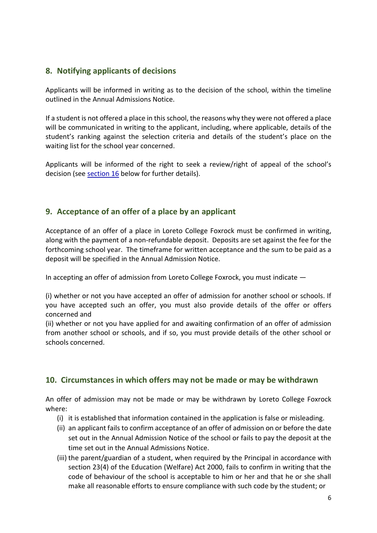# **8. Notifying applicants of decisions**

Applicants will be informed in writing as to the decision of the school, within the timeline outlined in the Annual Admissions Notice.

If a student is not offered a place in this school, the reasons why they were not offered a place will be communicated in writing to the applicant, including, where applicable, details of the student's ranking against the selection criteria and details of the student's place on the waiting list for the school year concerned.

Applicants will be informed of the right to seek a review/right of appeal of the school's decision (see [section 16](#page-9-0) below for further details).

# **9. Acceptance of an offer of a place by an applicant**

Acceptance of an offer of a place in Loreto College Foxrock must be confirmed in writing, along with the payment of a non-refundable deposit. Deposits are set against the fee for the forthcoming school year. The timeframe for written acceptance and the sum to be paid as a deposit will be specified in the Annual Admission Notice.

In accepting an offer of admission from Loreto College Foxrock, you must indicate —

(i) whether or not you have accepted an offer of admission for another school or schools. If you have accepted such an offer, you must also provide details of the offer or offers concerned and

(ii) whether or not you have applied for and awaiting confirmation of an offer of admission from another school or schools, and if so, you must provide details of the other school or schools concerned.

# **10. Circumstances in which offers may not be made or may be withdrawn**

An offer of admission may not be made or may be withdrawn by Loreto College Foxrock where:

- (i) it is established that information contained in the application is false or misleading.
- (ii) an applicant fails to confirm acceptance of an offer of admission on or before the date set out in the Annual Admission Notice of the school or fails to pay the deposit at the time set out in the Annual Admissions Notice.
- (iii) the parent/guardian of a student, when required by the Principal in accordance with section 23(4) of the Education (Welfare) Act 2000, fails to confirm in writing that the code of behaviour of the school is acceptable to him or her and that he or she shall make all reasonable efforts to ensure compliance with such code by the student; or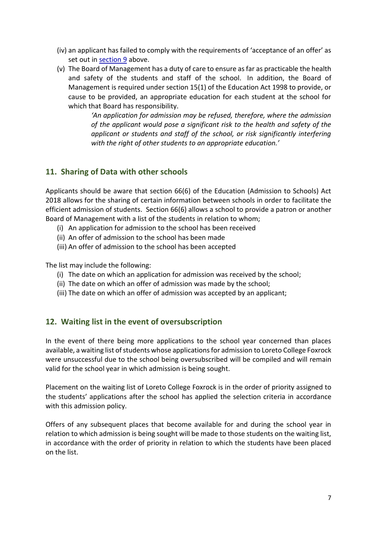- (iv) an applicant has failed to comply with the requirements of 'acceptance of an offer' as set out in [section 9](#page-7-2) above.
- (v) The Board of Management has a duty of care to ensure as far as practicable the health and safety of the students and staff of the school. In addition, the Board of Management is required under section 15(1) of the Education Act 1998 to provide, or cause to be provided, an appropriate education for each student at the school for which that Board has responsibility.

*'An application for admission may be refused, therefore, where the admission of the applicant would pose a significant risk to the health and safety of the applicant or students and staff of the school, or risk significantly interfering with the right of other students to an appropriate education.'*

# <span id="page-6-0"></span>**11. Sharing of Data with other schools**

Applicants should be aware that section 66(6) of the Education (Admission to Schools) Act 2018 allows for the sharing of certain information between schools in order to facilitate the efficient admission of students. Section 66(6) allows a school to provide a patron or another Board of Management with a list of the students in relation to whom;

- (i) An application for admission to the school has been received
- (ii) An offer of admission to the school has been made
- (iii) An offer of admission to the school has been accepted

The list may include the following:

- (i) The date on which an application for admission was received by the school;
- (ii) The date on which an offer of admission was made by the school;
- (iii) The date on which an offer of admission was accepted by an applicant;

## **12. Waiting list in the event of oversubscription**

In the event of there being more applications to the school year concerned than places available, a waiting list of students whose applications for admission to Loreto College Foxrock were unsuccessful due to the school being oversubscribed will be compiled and will remain valid for the school year in which admission is being sought.

Placement on the waiting list of Loreto College Foxrock is in the order of priority assigned to the students' applications after the school has applied the selection criteria in accordance with this admission policy.

Offers of any subsequent places that become available for and during the school year in relation to which admission is being sought will be made to those students on the waiting list, in accordance with the order of priority in relation to which the students have been placed on the list.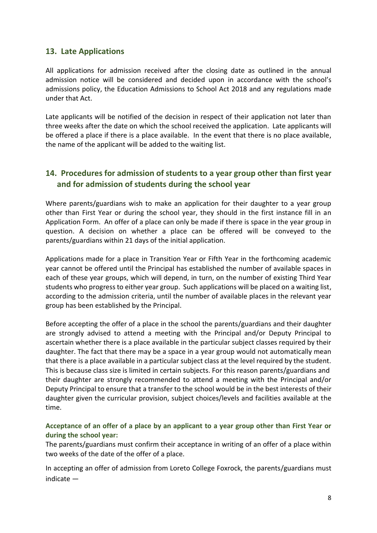## <span id="page-7-0"></span>**13. Late Applications**

All applications for admission received after the closing date as outlined in the annual admission notice will be considered and decided upon in accordance with the school's admissions policy, the Education Admissions to School Act 2018 and any regulations made under that Act.

Late applicants will be notified of the decision in respect of their application not later than three weeks after the date on which the school received the application. Late applicants will be offered a place if there is a place available. In the event that there is no place available, the name of the applicant will be added to the waiting list.

# <span id="page-7-1"></span>**14. Procedures for admission of students to a year group other than first year and for admission of students during the school year**

Where parents/guardians wish to make an application for their daughter to a year group other than First Year or during the school year, they should in the first instance fill in an Application Form. An offer of a place can only be made if there is space in the year group in question. A decision on whether a place can be offered will be conveyed to the parents/guardians within 21 days of the initial application.

Applications made for a place in Transition Year or Fifth Year in the forthcoming academic year cannot be offered until the Principal has established the number of available spaces in each of these year groups, which will depend, in turn, on the number of existing Third Year students who progress to either year group. Such applications will be placed on a waiting list, according to the admission criteria, until the number of available places in the relevant year group has been established by the Principal.

Before accepting the offer of a place in the school the parents/guardians and their daughter are strongly advised to attend a meeting with the Principal and/or Deputy Principal to ascertain whether there is a place available in the particular subject classes required by their daughter. The fact that there may be a space in a year group would not automatically mean that there is a place available in a particular subject class at the level required by the student. This is because class size is limited in certain subjects. For this reason parents/guardians and their daughter are strongly recommended to attend a meeting with the Principal and/or Deputy Principal to ensure that a transfer to the school would be in the best interests of their daughter given the curricular provision, subject choices/levels and facilities available at the time.

#### <span id="page-7-2"></span>**Acceptance of an offer of a place by an applicant to a year group other than First Year or during the school year:**

The parents/guardians must confirm their acceptance in writing of an offer of a place within two weeks of the date of the offer of a place.

In accepting an offer of admission from Loreto College Foxrock, the parents/guardians must indicate —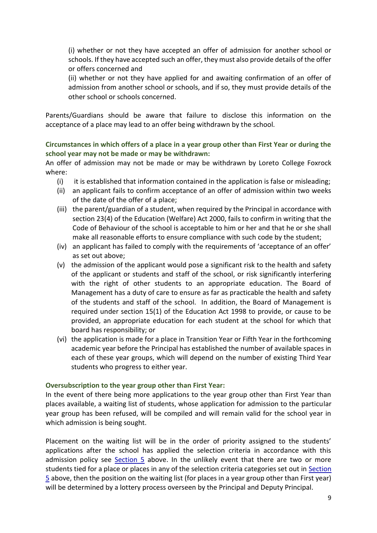(i) whether or not they have accepted an offer of admission for another school or schools. If they have accepted such an offer, they must also provide details of the offer or offers concerned and

(ii) whether or not they have applied for and awaiting confirmation of an offer of admission from another school or schools, and if so, they must provide details of the other school or schools concerned.

Parents/Guardians should be aware that failure to disclose this information on the acceptance of a place may lead to an offer being withdrawn by the school.

**Circumstances in which offers of a place in a year group other than First Year or during the school year may not be made or may be withdrawn:**

An offer of admission may not be made or may be withdrawn by Loreto College Foxrock where:

- (i) it is established that information contained in the application is false or misleading;
- (ii) an applicant fails to confirm acceptance of an offer of admission within two weeks of the date of the offer of a place;
- (iii) the parent/guardian of a student, when required by the Principal in accordance with section 23(4) of the Education (Welfare) Act 2000, fails to confirm in writing that the Code of Behaviour of the school is acceptable to him or her and that he or she shall make all reasonable efforts to ensure compliance with such code by the student;
- (iv) an applicant has failed to comply with the requirements of 'acceptance of an offer' as set out above;
- (v) the admission of the applicant would pose a significant risk to the health and safety of the applicant or students and staff of the school, or risk significantly interfering with the right of other students to an appropriate education. The Board of Management has a duty of care to ensure as far as practicable the health and safety of the students and staff of the school. In addition, the Board of Management is required under section 15(1) of the Education Act 1998 to provide, or cause to be provided, an appropriate education for each student at the school for which that board has responsibility; or
- (vi) the application is made for a place in Transition Year or Fifth Year in the forthcoming academic year before the Principal has established the number of available spaces in each of these year groups, which will depend on the number of existing Third Year students who progress to either year.

#### **Oversubscription to the year group other than First Year:**

In the event of there being more applications to the year group other than First Year than places available, a waiting list of students, whose application for admission to the particular year group has been refused, will be compiled and will remain valid for the school year in which admission is being sought.

Placement on the waiting list will be in the order of priority assigned to the students' applications after the school has applied the selection criteria in accordance with this admission policy see  $Section 5$  $Section 5$  above. In the unlikely event that there are two or more students tied for a place or places in any of the selection criteria categories set out in [Section](#page-3-0)  [5](#page-3-0) above, then the position on the waiting list (for places in a year group other than First year) will be determined by a lottery process overseen by the Principal and Deputy Principal.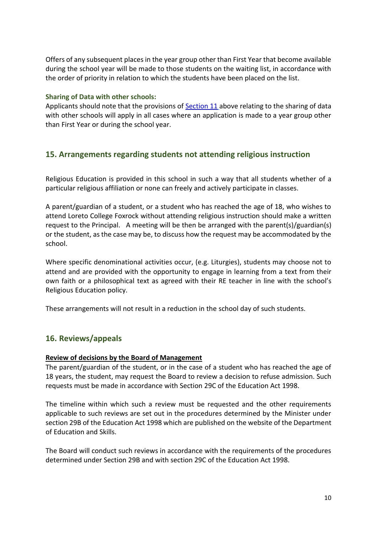Offers of any subsequent places in the year group other than First Year that become available during the school year will be made to those students on the waiting list, in accordance with the order of priority in relation to which the students have been placed on the list.

#### **Sharing of Data with other schools:**

Applicants should note that the provisions of [Section 11](#page-6-0) above relating to the sharing of data with other schools will apply in all cases where an application is made to a year group other than First Year or during the school year.

## **15. Arrangements regarding students not attending religious instruction**

Religious Education is provided in this school in such a way that all students whether of a particular religious affiliation or none can freely and actively participate in classes.

A parent/guardian of a student, or a student who has reached the age of 18, who wishes to attend Loreto College Foxrock without attending religious instruction should make a written request to the Principal. A meeting will be then be arranged with the parent(s)/guardian(s) or the student, as the case may be, to discuss how the request may be accommodated by the school.

Where specific denominational activities occur, (e.g. Liturgies), students may choose not to attend and are provided with the opportunity to engage in learning from a text from their own faith or a philosophical text as agreed with their RE teacher in line with the school's Religious Education policy.

These arrangements will not result in a reduction in the school day of such students.

# <span id="page-9-0"></span>**16. Reviews/appeals**

### **Review of decisions by the Board of Management**

The parent/guardian of the student, or in the case of a student who has reached the age of 18 years, the student, may request the Board to review a decision to refuse admission. Such requests must be made in accordance with Section 29C of the Education Act 1998.

The timeline within which such a review must be requested and the other requirements applicable to such reviews are set out in the procedures determined by the Minister under section 29B of the Education Act 1998 which are published on the website of the Department of Education and Skills.

The Board will conduct such reviews in accordance with the requirements of the procedures determined under Section 29B and with section 29C of the Education Act 1998.